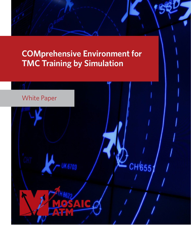# **COMprehensive Environment for TMC Training by Simulation**

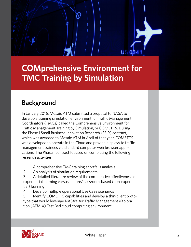

**COMprehensive Environment for TMC Training by Simulation**

# **Background**

In January 2016, Mosaic ATM submitted a proposal to NASA to develop a training simulation environment for Traffic Management Coordinators (TMCs) called the Comprehensive Environment for Traffic Management Training by Simulation, or COMETTS. During the Phase I Small Business Innovation Research (SBIR) contract, which was awarded to Mosaic ATM in April of that year, COMETTS was developed to operate in the Cloud and provide displays to traffic management trainees via standard computer web browser applications. The Phase I contract focused on completing the following research activities:

- 1. A comprehensive TMC training shortfalls analysis
- 2. An analysis of simulation requirements
- 3. A detailed literature review of the comparative effectiveness of experiential learning versus lecture/classroom-based (non-experiential) learning
- 4. Develop multiple operational Use Case scenarios
- 5. Identify COMETTS capabilities and develop a thin-client prototype that would leverage NASA's Air Traffic Management eXploration (ATM-X) Test Bed cloud computing environment.

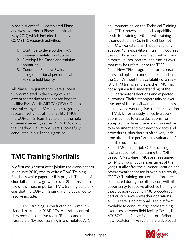Mosaic successfully completed Phase I and was awarded a Phase II contract in May 2017, which included the following COMETTS research activities:

- 1. Continue to develop the TMC training simulator prototype
- 2. Develop Use Cases and training scenarios
- 3. Conduct a Shadow Evaluation using operational personnel at a key site field facility

All Phase II requirements were successfully completed in the spring of 2019, except for testing at the chosen key site facility: Fort Worth ARTCC (ZFW). Due to several changes in FAA policies regarding research activities at field facility TMUs, the COMETTS Team had to enlist the help of several recently retired ZFW TMCs, and the Shadow Evaluations were successfully conducted in our Leesburg office.

## **TMC Training Shortfalls**

My first assignment after joining the Mosaic team in January 2016, was to write a TMC Training Shortfalls white paper for this project. That list of shortfalls has now grown to over 20 items, but a few of the most important TMC training deficiencies that the COMETTS simulator is designed to resolve include:

1. TMC training is conducted on Computer Based Instruction (CBI) PCs. Air traffic controllers receive extensive radar (R-side) and radarassociate (D-side) training in a simulated ATC environment called the Technical Training Lab (TTL), however, no such capability exists for training TMCs. TMC training is conducted on PCs in the CBI lab, not on TMU workstations. These nationally adapted "one-size-fits-all" training courses use non-local examples that contain fixes, airports, routes, sectors, and traffic flows that may be unfamiliar to the TMC.

2. New TFM program features, parameters and options cannot be explored in the CBI. Without the availability of a realistic TFM traffic simulator, the TMC may not acquire a full understanding of the TMI parameter selections and expected outcomes. Their first opportunity to exercise any of these software enhancements occurs while working live traffic on position in TMU. Unfortunately, since live operations cannot tolerate deviations from accepted practices, there is a disincentive to experiment and test new concepts and procedures, plus there is often very little time afforded to perform an evaluation of possible outcomes.

3. TMC on-the-job (OJT) training is often accomplished during the "Off Season". New-hire TMCs are reassigned to TMU throughout various times of the year, usually after the summer vacation and severe weather season is over. As a result, TMC OJT training and certifications are conducted during the off-season, with little opportunity to receive effective training on these season-specific TMU procedures, particularly severe weather operations.

4. There is no national TFM platform available to conduct large scale training exercises between field facility TMUs, the ATCSCC, and/or NAS operators. When new NextGen TFM systems are deployed

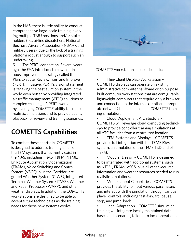in the NAS, there is little ability to conduct comprehensive large-scale training involving multiple TMU positions and/or stakeholders (i.e., airline dispatchers, National Business Aircraft Association (NBAA), and military users), due to the lack of a training platform robust enough to support such an undertaking.

5. The PERTI connection. Several years ago, the FAA introduced a new continuous improvement strategy called the Plan, Execute, Review, Train and Improve (PERTI) initiative. PERTI's vision statement is "Making the best aviation system in the world even better by providing integrated air traffic management (ATM) solutions to complex challenges". PERTI would benefit by leveraging COMETTS' ability to create realistic simulations and to provide quality playback for review and training scenarios.

#### **COMETTS Capabilities**

To combat these shortfalls, COMETTS is designed to address training on all of the TFM systems that currently exist in the NAS, including TFMS, TBFM, NTML, En Route Automation Modernization (ERAM), Voice Switching and Control System (VSCS), plus the Corridor Integrated Weather System (CIWS), Integrated Terminal Weather System (ITWS), Weather and Radar Processor (WARP), and other weather displays. In addition, the COMETTS workstations are designed to be able to accept future technologies as the training needs for those new systems evolve.



COMETTS workstation capabilities include:

• Thin-Client Display/Workstation – COMETTS displays can operate on existing administrative computer hardware or on purposebuilt computer workstations that are configurable, lightweight computers that require only a browser and connection to the internet (or other appropriate network) to be able to join a COMETTS training simulation.

• Cloud Deployment Architecture – COMETTS will leverage cloud computing technology to provide controller training simulations at all ATC facilities from a centralized location.

• TFM Systems and Displays – COMETTS provides full integration with the TFMS FSM system, an emulation of the TFMS TSD and of TBFM.

• Modular Design – COMETTS is designed to be integrated with additional systems, such as NTML, ERAM, VSCS, plus all other required information and weather resources needed to run realistic simulations.

• Multiple Input Capabilities – COMETTS provides the ability to input various parameters and interact with the simulation through various player controls, including fast-forward, pause, stop, and jump-back.

• Local Adaptation – COMETTS simulation training will integrate locally maintained databases and scenarios, tailored to local operations.

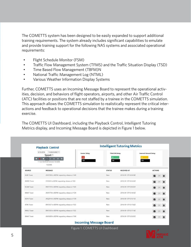The COMETTS system has been designed to be easily expanded to support additional training requirements. The system already includes significant capabilities to emulate and provide training support for the following NAS systems and associated operational requirements:

- Flight Schedule Monitor (FSM)
- Traffic Flow Management System (TFMS) and the Traffic Situation Display (TSD)
- Time Based Flow Management (TBFM)N
- National Traffic Management Log (NTML)
- Various Weather Information Display Systems

Further, COMETTS uses an Incoming Message Board to represent the operational activities, decision, and behaviors of flight operators, airports, and other Air Traffic Control (ATC) facilities or positions that are not staffed by a trainee in the COMETTS simulation. This approach allows the COMETTS simulation to realistically represent the critical interactions and feedback to operational decisions that the trainee makes during a training exercise.

The COMETTS UI Dashboard, including the Playback Control, Intelligent Tutoring Metrics display, and Incoming Message Board is depicted in Figure 1 below.

| <b>Playback Control</b> |                                                                                                        | <b>Intelligent Tutoring Metrics</b> |                                  |                      |                                     |     |   |
|-------------------------|--------------------------------------------------------------------------------------------------------|-------------------------------------|----------------------------------|----------------------|-------------------------------------|-----|---|
| K                       | 13:00:00.000Z *<br>9/13/2018<br>Speed: 1<br>1 5 10 30 2<br>Use Identical Scenario Variable<br>15:26:46 | <b>Center Delay</b><br>100          | <b>TRACON Delay</b><br>92<br>100 |                      | <b>Internal Ground Delay</b><br>100 |     |   |
| SOURCE                  | <b>MESSAGE</b>                                                                                         |                                     | <b>STATUS</b>                    | <b>RECEIVED AT</b>   | <b>ACTIONS</b>                      |     |   |
| <b>KLBB Tower</b>       | ASH5780 to KDFW requesting release at 1449                                                             |                                     | New                              | 2018-09-13T14:34:38Z | ▫                                   | 853 | û |
| <b>KMDD</b> Tower       | CYO924 to KDFW requesting release at 1508                                                              |                                     | New                              | 2018-09-13T14:53:22Z | ø                                   |     | 自 |
| <b>KLAW Tower</b>       | ENY3739 to KDFW requesting release at 1520                                                             |                                     | New                              | 2018-09-13T15:05:07Z | M                                   |     | 酋 |
| <b>KMAF Tower</b>       | ASH5778 to KDFW requesting release at 1529                                                             |                                     | New                              | 2018-09-13T15:14:55Z | ◘                                   |     | Ü |
| <b>KSHV Tower</b>       | ASQ2914 to KDFW requesting release at 1530                                                             |                                     | New                              | 2018-09-13T15:15:11Z | ◘                                   | 183 | 酋 |
| <b>KTXK Tower</b>       | ENY3557 to KDFW requesting release at 1532                                                             |                                     | New                              | 2018-09-13T15:17:02Z | ø                                   |     | û |
| <b>KMLU Tower</b>       | ENY3350 to KDFW requesting release at 1532                                                             |                                     | New                              | 2018-09-13T15:17:14Z | ▫                                   |     | û |
| <b>KMAF Tower</b>       | ASH5809 to KDFW requesting release at 1540                                                             |                                     | New                              | 2018-09-13T15:25:01Z | ø                                   |     | 茴 |

Figure 1. COMETTS UI Dashboard

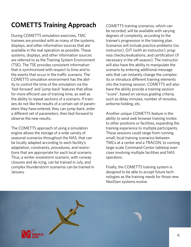# **COMETTS Training Approach**

During COMETTS simulation exercises, TMC trainees are provided with as many of the systems, displays, and other information sources that are available in the real operation as possible. These systems, displays, and other information sources are referred to as the Training System Environment (TSE). The TSE provides consistent information that is synchronized with respect to time and to the events that occur in the traffic scenario. The COMETTS simulation environment has the ability to control the time of the simulation via the 'fast-forward' and 'jump-back' features that allow for more efficient use of training time, as well as the ability to repeat sections of a scenario. If trainees do not like the results of a certain set of parameters they have entered, they can jump-back, enter a different set of parameters, then fast-forward to observe the new results.

The COMETTS approach of using a simulation engine allows the storage of a wide variety of seasonal scenarios throughout the NAS, that can be locally adapted according to each facility's adaptation, constraints, procedures, and restrictions that are appropriate for each local scenario. Thus, a winter snowstorm scenario, with runway closures and de-icing, can be trained in July, and complex thunderstorm scenarios can be trained in January.

COMETTS training scenarios, which can be recorded, will be available with varying degrees of complexity, according to the trainee's progression in the training plan. Scenarios will include practice problems (no instructor), OJT (with an instructor), progress checks/evaluations, and certification (if necessary in the off-season). The instructor will also have the ability to manipulate the scenario by entering additional message sets that can instantly change the complexity or introduce different training elements into the training session. COMETTS will also have the ability provide a training session "score", based on various grading criteria, such as delay minutes, number of reroutes, airborne holding, etc.

Another unique COMETTS feature is the ability to send web browser training invites to other positions or facilities, expanding the training experience to multiple participants. These sessions could range from running small, local training scenarios between TMCs at a center and a TRACON, to running large-scale Command Center tabletop exercises involving multiple facilities and NAS operators.

Finally, the COMETTS training system is designed to be able to accept future technologies as the training needs for those new NextGen systems evolve.